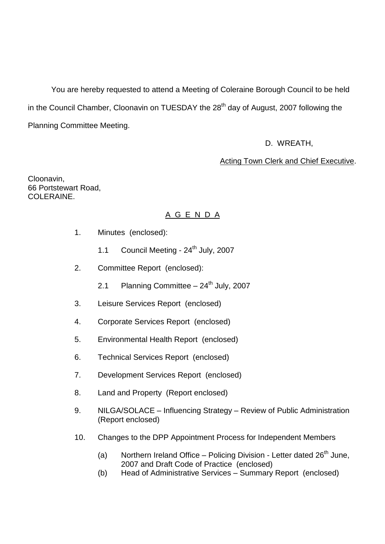You are hereby requested to attend a Meeting of Coleraine Borough Council to be held in the Council Chamber, Cloonavin on TUESDAY the 28<sup>th</sup> day of August, 2007 following the Planning Committee Meeting.

D. WREATH,

Acting Town Clerk and Chief Executive.

Cloonavin, 66 Portstewart Road, COLERAINE.

# A G E N D A

- 1. Minutes (enclosed):
	- 1.1 Council Meeting 24<sup>th</sup> July, 2007
- 2. Committee Report (enclosed):
	- 2.1 Planning Committee  $-24<sup>th</sup>$  July, 2007
- 3. Leisure Services Report (enclosed)
- 4. Corporate Services Report (enclosed)
- 5. Environmental Health Report (enclosed)
- 6. Technical Services Report (enclosed)
- 7. Development Services Report (enclosed)
- 8. Land and Property (Report enclosed)
- 9. NILGA/SOLACE Influencing Strategy Review of Public Administration (Report enclosed)
- 10. Changes to the DPP Appointment Process for Independent Members
	- (a) Northern Ireland Office Policing Division Letter dated  $26<sup>th</sup>$  June, 2007 and Draft Code of Practice (enclosed)
	- (b) Head of Administrative Services Summary Report (enclosed)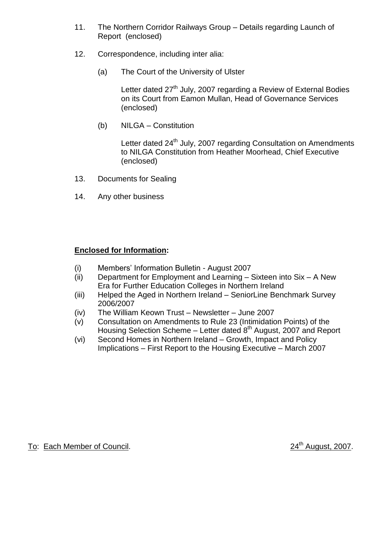- 11. The Northern Corridor Railways Group Details regarding Launch of Report (enclosed)
- 12. Correspondence, including inter alia:
	- (a) The Court of the University of Ulster

Letter dated 27<sup>th</sup> July, 2007 regarding a Review of External Bodies on its Court from Eamon Mullan, Head of Governance Services (enclosed)

(b) NILGA –Constitution

Letter dated 24<sup>th</sup> July, 2007 regarding Consultation on Amendments to NILGA Constitution from Heather Moorhead, Chief Executive (enclosed)

- 13. Documents for Sealing
- 14. Any other business

# **Enclosed for Information:**

- (i) Members' Information Bulletin August 2007
- (ii) Department for Employment and Learning  $-$  Sixteen into Six  $-$  A New Era for Further Education Colleges in Northern Ireland
- (iii) Helped the Aged in Northern Ireland SeniorLine Benchmark Survey 2006/2007
- $(iv)$  The William Keown Trust Newsletter June 2007
- (v) Consultation on Amendments to Rule 23 (Intimidation Points) of the Housing Selection Scheme – Letter dated  $8<sup>th</sup>$  August, 2007 and Report
- (vi) Second Homes in Northern Ireland –Growth, Impact and Policy Implications – First Report to the Housing Executive – March 2007

To: Each Member of Council. 24<sup>th</sup> August, 2007.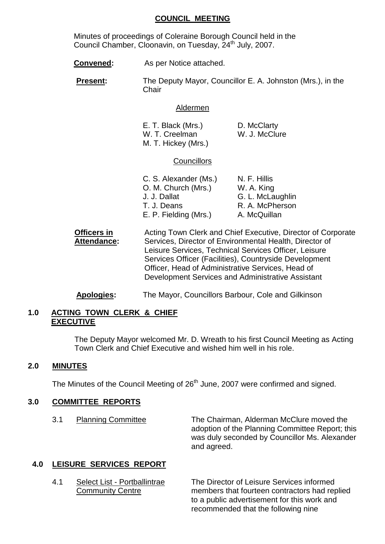#### **COUNCIL MEETING**

Minutes of proceedings of Coleraine Borough Council held in the Council Chamber, Cloonavin, on Tuesday, 24<sup>th</sup> July, 2007.

**Convened:** As per Notice attached.

**Present:** The Deputy Mayor, Councillor E. A. Johnston (Mrs.), in the **Chair** 

#### Aldermen

| E. T. Black (Mrs.)  | D. McClarty   |
|---------------------|---------------|
| W. T. Creelman      | W. J. McClure |
| M. T. Hickey (Mrs.) |               |

### **Councillors**

| C. S. Alexander (Ms.) | N. F. Hillis     |
|-----------------------|------------------|
| O. M. Church (Mrs.)   | W. A. King       |
| J. J. Dallat          | G. L. McLaughlin |
| T. J. Deans           | R. A. McPherson  |
| E. P. Fielding (Mrs.) | A. McQuillan     |

**Officers in** Acting Town Clerk and Chief Executive, Director of Corporate **Attendance:** Services, Director of Environmental Health, Director of Leisure Services, Technical Services Officer, Leisure Services Officer (Facilities), Countryside Development Officer, Head of Administrative Services, Head of Development Services and Administrative Assistant

# **Apologies:** The Mayor, Councillors Barbour, Cole and Gilkinson

# **1.0 ACTING TOWN CLERK & CHIEF EXECUTIVE**

The Deputy Mayor welcomed Mr. D. Wreath to his first Council Meeting as Acting Town Clerk and Chief Executive and wished him well in his role.

### **2.0 MINUTES**

The Minutes of the Council Meeting of 26<sup>th</sup> June, 2007 were confirmed and signed.

### **3.0 COMMITTEE REPORTS**

3.1 Planning Committee The Chairman, Alderman McClure moved the adoption of the Planning Committee Report; this was duly seconded by Councillor Ms. Alexander and agreed.

### **4.0 LEISURE SERVICES REPORT**

4.1 Select List - Portballintrae The Director of Leisure Services informed Community Centre members that fourteen contractors had replied to a public advertisement for this work and recommended that the following nine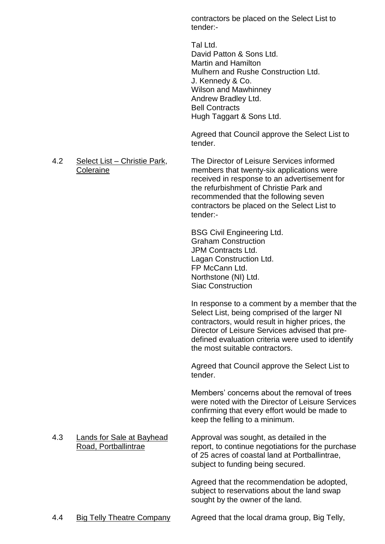contractors be placed on the Select List to tender:-

Tal Ltd. David Patton & Sons Ltd. Martin and Hamilton Mulhern and Rushe Construction Ltd. J. Kennedy & Co. Wilson and Mawhinney Andrew Bradley Ltd. Bell Contracts Hugh Taggart & Sons Ltd.

Agreed that Council approve the Select List to tender.

4.2 Select List –Christie Park, The Director of Leisure Services informed Coleraine members that twenty-six applications were received in response to an advertisement for the refurbishment of Christie Park and recommended that the following seven contractors be placed on the Select List to tender:-

> BSG Civil Engineering Ltd. Graham Construction JPM Contracts Ltd. Lagan Construction Ltd. FP McCann Ltd. Northstone (NI) Ltd. Siac Construction

In response to a comment by a member that the Select List, being comprised of the larger NI contractors, would result in higher prices, the Director of Leisure Services advised that predefined evaluation criteria were used to identify the most suitable contractors.

Agreed that Council approve the Select List to tender.

Members' concerns about the removal of trees were noted with the Director of Leisure Services confirming that every effort would be made to keep the felling to a minimum.

4.3 Lands for Sale at Bayhead Approval was sought, as detailed in the Road, Portballintrae **Road, Portballintrae** report, to continue negotiations for the purchase of 25 acres of coastal land at Portballintrae, subject to funding being secured.

> Agreed that the recommendation be adopted, subject to reservations about the land swap sought by the owner of the land.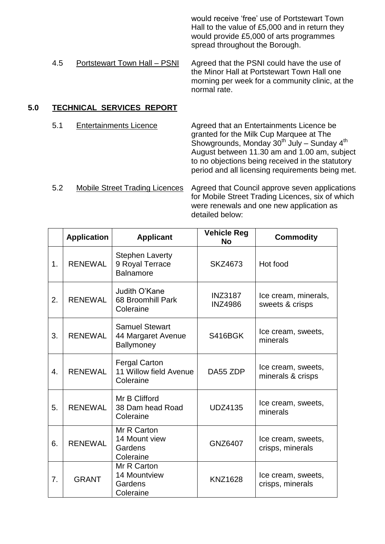would receive 'free' use of Portstewart Town Hall to the value of £5,000 and in return they would provide £5,000 of arts programmes spread throughout the Borough.

4.5 Portstewart Town Hall – PSNI Agreed that the PSNI could have the use of the Minor Hall at Portstewart Town Hall one morning per week for a community clinic, at the normal rate.

# **5.0 TECHNICAL SERVICES REPORT**

5.1 Entertainments Licence Agreed that an Entertainments Licence be granted for the Milk Cup Marquee at The Showgrounds, Monday  $30<sup>th</sup>$  July – Sunday  $4<sup>th</sup>$ August between 11.30 am and 1.00 am, subject to no objections being received in the statutory period and all licensing requirements being met.

5.2 Mobile Street Trading Licences Agreed that Council approve seven applications for Mobile Street Trading Licences, six of which were renewals and one new application as detailed below:

|                  | <b>Application</b> | <b>Applicant</b>                                              | <b>Vehicle Reg</b><br>No         | <b>Commodity</b>                        |
|------------------|--------------------|---------------------------------------------------------------|----------------------------------|-----------------------------------------|
| 1.               | <b>RENEWAL</b>     | <b>Stephen Laverty</b><br>9 Royal Terrace<br><b>Balnamore</b> | <b>SKZ4673</b>                   | Hot food                                |
| 2.               | <b>RENEWAL</b>     | Judith O'Kane<br>68 Broomhill Park<br>Coleraine               | <b>INZ3187</b><br><b>INZ4986</b> | Ice cream, minerals,<br>sweets & crisps |
| 3.               | <b>RENEWAL</b>     | <b>Samuel Stewart</b><br>44 Margaret Avenue<br>Ballymoney     | S416BGK                          | Ice cream, sweets,<br>minerals          |
| $\overline{4}$ . | <b>RENEWAL</b>     | <b>Fergal Carton</b><br>11 Willow field Avenue<br>Coleraine   | DA55 ZDP                         | Ice cream, sweets,<br>minerals & crisps |
| 5.               | <b>RENEWAL</b>     | Mr B Clifford<br>38 Dam head Road<br>Coleraine                | <b>UDZ4135</b>                   | Ice cream, sweets,<br>minerals          |
| 6.               | <b>RENEWAL</b>     | Mr R Carton<br>14 Mount view<br>Gardens<br>Coleraine          | GNZ6407                          | Ice cream, sweets,<br>crisps, minerals  |
| 7.               | <b>GRANT</b>       | Mr R Carton<br>14 Mountview<br>Gardens<br>Coleraine           | <b>KNZ1628</b>                   | Ice cream, sweets,<br>crisps, minerals  |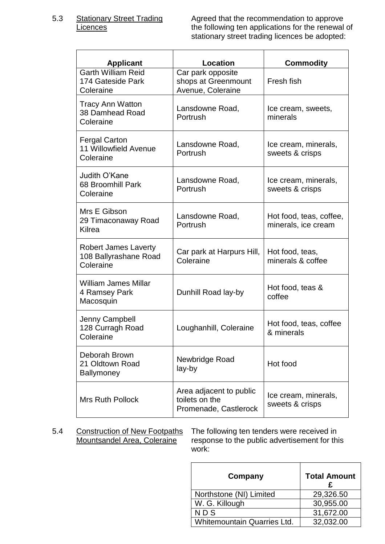5.3 Stationary Street Trading Agreed that the recommendation to approve<br>Licences the following ten applications for the renewal the following ten applications for the renewal of stationary street trading licences be adopted:

| <b>Applicant</b>                                                  | <b>Location</b>                                                    | <b>Commodity</b>                               |
|-------------------------------------------------------------------|--------------------------------------------------------------------|------------------------------------------------|
| <b>Garth William Reid</b><br>174 Gateside Park<br>Coleraine       | Car park opposite<br>shops at Greenmount<br>Avenue, Coleraine      | Fresh fish                                     |
| <b>Tracy Ann Watton</b><br>38 Damhead Road<br>Coleraine           | Lansdowne Road,<br>Portrush                                        | Ice cream, sweets,<br>minerals                 |
| <b>Fergal Carton</b><br>11 Willowfield Avenue<br>Coleraine        | Lansdowne Road,<br>Portrush                                        | Ice cream, minerals,<br>sweets & crisps        |
| Judith O'Kane<br>68 Broomhill Park<br>Coleraine                   | Lansdowne Road,<br>Portrush                                        | Ice cream, minerals,<br>sweets & crisps        |
| Mrs E Gibson<br>29 Timaconaway Road<br>Kilrea                     | Lansdowne Road,<br>Portrush                                        | Hot food, teas, coffee,<br>minerals, ice cream |
| <b>Robert James Laverty</b><br>108 Ballyrashane Road<br>Coleraine | Car park at Harpurs Hill,<br>Coleraine                             | Hot food, teas,<br>minerals & coffee           |
| <b>William James Millar</b><br>4 Ramsey Park<br>Macosquin         | Dunhill Road lay-by                                                | Hot food, teas &<br>coffee                     |
| Jenny Campbell<br>128 Curragh Road<br>Coleraine                   | Loughanhill, Coleraine                                             | Hot food, teas, coffee<br>& minerals           |
| Deborah Brown<br>21 Oldtown Road<br><b>Ballymoney</b>             | Newbridge Road<br>lay-by                                           | Hot food                                       |
| <b>Mrs Ruth Pollock</b>                                           | Area adjacent to public<br>toilets on the<br>Promenade, Castlerock | Ice cream, minerals,<br>sweets & crisps        |

5.4 Construction of New Footpaths The following ten tenders were received in<br>Mountsandel Area, Coleraine response to the public advertisement for thi response to the public advertisement for this work:

| Company                     | <b>Total Amount</b> |
|-----------------------------|---------------------|
| Northstone (NI) Limited     | 29,326.50           |
| W. G. Killough              | 30,955.00           |
| <b>NDS</b>                  | 31,672.00           |
| Whitemountain Quarries Ltd. | 32,032.00           |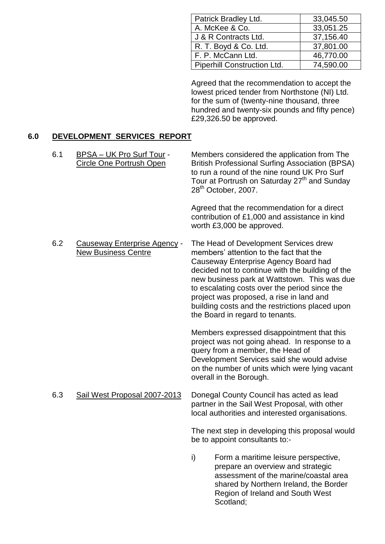| Patrick Bradley Ltd.               | 33,045.50 |
|------------------------------------|-----------|
| A. McKee & Co.                     | 33,051.25 |
| J & R Contracts Ltd.               | 37,156.40 |
| R. T. Boyd & Co. Ltd.              | 37,801.00 |
| F. P. McCann Ltd.                  | 46,770.00 |
| <b>Piperhill Construction Ltd.</b> | 74,590.00 |

Agreed that the recommendation to accept the lowest priced tender from Northstone (NI) Ltd. for the sum of (twenty-nine thousand, three hundred and twenty-six pounds and fifty pence) £29,326.50 be approved.

# **6.0 DEVELOPMENT SERVICES REPORT**

| 6.1 | <b>BPSA - UK Pro Surf Tour -</b><br><b>Circle One Portrush Open</b> | Members considered the application from The<br><b>British Professional Surfing Association (BPSA)</b><br>to run a round of the nine round UK Pro Surf<br>Tour at Portrush on Saturday 27 <sup>th</sup> and Sunday<br>28 <sup>th</sup> October, 2007.                                                                                                                                                            |
|-----|---------------------------------------------------------------------|-----------------------------------------------------------------------------------------------------------------------------------------------------------------------------------------------------------------------------------------------------------------------------------------------------------------------------------------------------------------------------------------------------------------|
|     |                                                                     | Agreed that the recommendation for a direct<br>contribution of £1,000 and assistance in kind<br>worth £3,000 be approved.                                                                                                                                                                                                                                                                                       |
| 6.2 | <b>Causeway Enterprise Agency -</b><br><b>New Business Centre</b>   | The Head of Development Services drew<br>members' attention to the fact that the<br>Causeway Enterprise Agency Board had<br>decided not to continue with the building of the<br>new business park at Wattstown. This was due<br>to escalating costs over the period since the<br>project was proposed, a rise in land and<br>building costs and the restrictions placed upon<br>the Board in regard to tenants. |
|     |                                                                     | Members expressed disappointment that this<br>project was not going ahead. In response to a<br>query from a member, the Head of<br>Development Services said she would advise<br>on the number of units which were lying vacant<br>overall in the Borough.                                                                                                                                                      |
| 6.3 | Sail West Proposal 2007-2013                                        | Donegal County Council has acted as lead<br>partner in the Sail West Proposal, with other<br>local authorities and interested organisations.                                                                                                                                                                                                                                                                    |
|     |                                                                     | The next step in developing this proposal would<br>be to appoint consultants to:-                                                                                                                                                                                                                                                                                                                               |
|     |                                                                     | i)<br>Form a maritime leisure perspective,<br>prepare an overview and strategic<br>assessment of the marine/coastal area<br>shared by Northern Ireland, the Border<br>Region of Ireland and South West<br>Scotland:                                                                                                                                                                                             |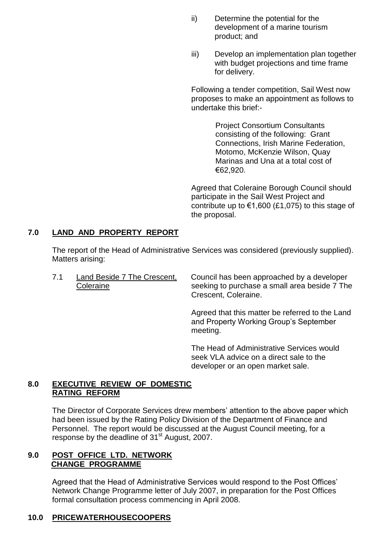- ii) Determine the potential for the development of a marine tourism product; and
- iii) Develop an implementation plan together with budget projections and time frame for delivery.

Following a tender competition, Sail West now proposes to make an appointment as follows to undertake this brief:-

> Project Consortium Consultants consisting of the following: Grant Connections, Irish Marine Federation, Motomo, McKenzie Wilson, Quay Marinas and Una at a total cost of €62,920.

Agreed that Coleraine Borough Council should participate in the Sail West Project and contribute up to  $\epsilon$ 1,600 (£1,075) to this stage of the proposal.

# **7.0 LAND AND PROPERTY REPORT**

The report of the Head of Administrative Services was considered (previously supplied). Matters arising:

7.1 Land Beside 7 The Crescent, Council has been approached by a developer Coleraine Seeking to purchase a small area beside 7 The Crescent, Coleraine.

> Agreed that this matter be referred to the Land and Property Working Group's September meeting.

The Head of Administrative Services would seek VLA advice on a direct sale to the developer or an open market sale.

# **8.0 EXECUTIVE REVIEW OF DOMESTIC RATING REFORM**

The Director of Corporate Services drew members' attention to the above paper which had been issued by the Rating Policy Division of the Department of Finance and Personnel. The report would be discussed at the August Council meeting, for a response by the deadline of 31<sup>st</sup> August, 2007.

# **9.0 POST OFFICE LTD. NETWORK CHANGE PROGRAMME**

Agreed that the Head of Administrative Services would respond to the Post Offices' Network Change Programme letter of July 2007, in preparation for the Post Offices formal consultation process commencing in April 2008.

# **10.0 PRICEWATERHOUSECOOPERS**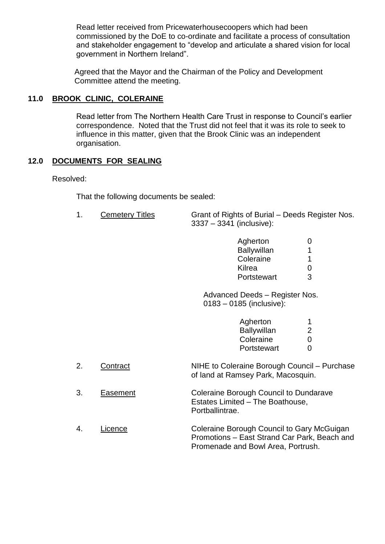Read letter received from Pricewaterhousecoopers which had been commissioned by the DoE to co-ordinate and facilitate a process of consultation and stakeholder engagement to "develop and articulate a shared vision for local government in Northern Ireland".

Agreed that the Mayor and the Chairman of the Policy and Development Committee attend the meeting.

# **11.0 BROOK CLINIC, COLERAINE**

Read letter from The Northern Health Care Trust in response to Council's earlier correspondence. Noted that the Trust did not feel that it was its role to seek to influence in this matter, given that the Brook Clinic was an independent organisation.

# **12.0 DOCUMENTS FOR SEALING**

Resolved:

That the following documents be sealed:

1. Cemetery Titles Grant of Rights of Burial –Deeds Register Nos. 3337 –3341 (inclusive):

| Agherton           | $\mathbf{\Omega}$ |
|--------------------|-------------------|
| <b>Ballywillan</b> | 1                 |
| Coleraine          | 1                 |
| <b>Kilrea</b>      | 0                 |
| Portstewart        | З                 |

Advanced Deeds - Register Nos. 0183 –0185 (inclusive):

| Agherton           | 1                 |
|--------------------|-------------------|
| <b>Ballywillan</b> | 2                 |
| Coleraine          | O                 |
| Portstewart        | $\mathbf{\Omega}$ |
|                    |                   |

- 2. Contract NIHE to Coleraine Borough Council Purchase of land at Ramsey Park, Macosquin.
- 3. Easement Coleraine Borough Council to Dundarave Estates Limited - The Boathouse, Portballintrae.
- 4. Licence Coleraine Borough Council to Gary McGuigan Promotions – East Strand Car Park, Beach and Promenade and Bowl Area, Portrush.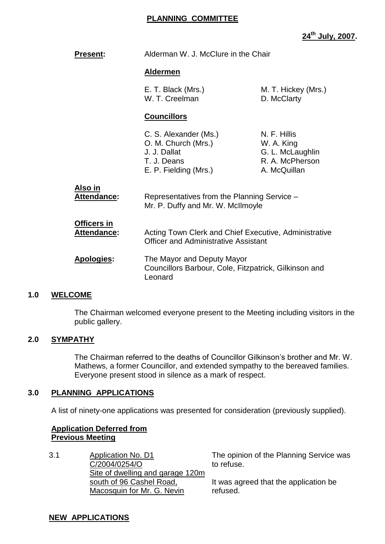### **PLANNING COMMITTEE**

**24th July, 2007.**

| Present:                                 | Alderman W. J. McClure in the Chair                                                                  |                                                                                   |
|------------------------------------------|------------------------------------------------------------------------------------------------------|-----------------------------------------------------------------------------------|
|                                          | <u>Aldermen</u>                                                                                      |                                                                                   |
|                                          | E. T. Black (Mrs.)<br>W. T. Creelman                                                                 | M. T. Hickey (Mrs.)<br>D. McClarty                                                |
|                                          | <b>Councillors</b>                                                                                   |                                                                                   |
|                                          | C. S. Alexander (Ms.)<br>O. M. Church (Mrs.)<br>J. J. Dallat<br>T. J. Deans<br>E. P. Fielding (Mrs.) | N. F. Hillis<br>W. A. King<br>G. L. McLaughlin<br>R. A. McPherson<br>A. McQuillan |
| <u>Also in</u><br><b>Attendance:</b>     | Representatives from the Planning Service -<br>Mr. P. Duffy and Mr. W. McIlmoyle                     |                                                                                   |
| <u>Officers in</u><br><b>Attendance:</b> | Acting Town Clerk and Chief Executive, Administrative<br><b>Officer and Administrative Assistant</b> |                                                                                   |
| <b>Apologies:</b>                        | The Mayor and Deputy Mayor<br>Councillors Barbour, Cole, Fitzpatrick, Gilkinson and<br>Leonard       |                                                                                   |

### **1.0 WELCOME**

The Chairman welcomed everyone present to the Meeting including visitors in the public gallery.

### **2.0 SYMPATHY**

The Chairman referred to the deaths of Councillor Gilkinson's brother and Mr. W. Mathews, a former Councillor, and extended sympathy to the bereaved families. Everyone present stood in silence as a mark of respect.

#### **3.0 PLANNING APPLICATIONS**

A list of ninety-one applications was presented for consideration (previously supplied).

## **Application Deferred from Previous Meeting**

3.1 Application No. D1 C/2004/0254/O Site of dwelling and garage 120m south of 96 Cashel Road, Macosquin for Mr. G. Nevin

The opinion of the Planning Service was to refuse.

It was agreed that the application be refused.

#### **NEW APPLICATIONS**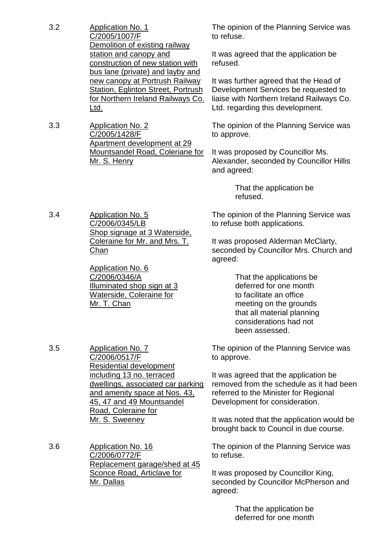- 3.2 Application No. 1 C/2005/1007/F Demolition of existing railway station and canopy and construction of new station with bus lane (private) and layby and new canopy at Portrush Railway Station, Eglinton Street, Portrush for Northern Ireland Railways Co. Ltd.
- 3.3 Application No. 2 C/2005/1428/F Apartment development at 29 Mountsandel Road, Coleriane for Mr. S. Henry

3.4 Application No. 5 C/2006/0345/LB Shop signage at 3 Waterside, Coleraine for Mr. and Mrs. T. Chan

> Application No. 6 C/2006/0346/A Illuminated shop sign at 3 Waterside, Coleraine for Mr. T. Chan

The opinion of the Planning Service was to refuse.

It was agreed that the application be refused.

It was further agreed that the Head of Development Services be requested to liaise with Northern Ireland Railways Co. Ltd. regarding this development.

The opinion of the Planning Service was to approve.

It was proposed by Councillor Ms. Alexander, seconded by Councillor Hillis and agreed:

> That the application be refused.

The opinion of the Planning Service was to refuse both applications.

It was proposed Alderman McClarty, seconded by Councillor Mrs. Church and agreed:

> That the applications be deferred for one month to facilitate an office meeting on the grounds that all material planning considerations had not been assessed.

The opinion of the Planning Service was to approve.

It was agreed that the application be removed from the schedule as it had been referred to the Minister for Regional Development for consideration.

It was noted that the application would be brought back to Council in due course.

The opinion of the Planning Service was to refuse.

It was proposed by Councillor King, seconded by Councillor McPherson and agreed:

> That the application be deferred for one month

3.5 Application No. 7

C/2006/0517/F Residential development including 13 no. terraced dwellings, associated car parking and amenity space at Nos. 43, 45, 47 and 49 Mountsandel Road, Coleraine for Mr. S. Sweeney

3.6 Application No. 16 C/2006/0772/F Replacement garage/shed at 45 Sconce Road, Articlave for Mr. Dallas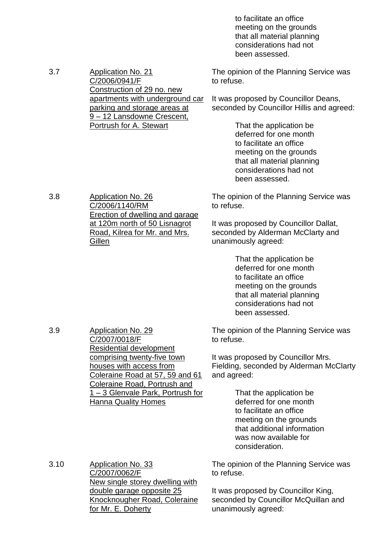to facilitate an office meeting on the grounds that all material planning considerations had not been assessed.

The opinion of the Planning Service was to refuse.

It was proposed by Councillor Deans, seconded by Councillor Hillis and agreed:

> That the application be deferred for one month to facilitate an office meeting on the grounds that all material planning considerations had not been assessed.

The opinion of the Planning Service was to refuse.

It was proposed by Councillor Dallat, seconded by Alderman McClarty and unanimously agreed:

> That the application be deferred for one month to facilitate an office meeting on the grounds that all material planning considerations had not been assessed.

The opinion of the Planning Service was to refuse.

It was proposed by Councillor Mrs. Fielding, seconded by Alderman McClarty and agreed:

> That the application be deferred for one month to facilitate an office meeting on the grounds that additional information was now available for consideration.

The opinion of the Planning Service was to refuse.

It was proposed by Councillor King, seconded by Councillor McQuillan and unanimously agreed:

3.7 Application No. 21 C/2006/0941/F Construction of 29 no. new apartments with underground car parking and storage areas at 9 –12 Lansdowne Crescent, Portrush for A. Stewart

3.8 Application No. 26 C/2006/1140/RM Erection of dwelling and garage at 120m north of 50 Lisnagrot Road, Kilrea for Mr. and Mrs. **Gillen** 

3.9 Application No. 29 C/2007/0018/F Residential development comprising twenty-five town houses with access from Coleraine Road at 57, 59 and 61 Coleraine Road, Portrush and 1 –3 Glenvale Park, Portrush for Hanna Quality Homes

3.10 Application No. 33

C/2007/0062/F New single storey dwelling with double garage opposite 25 Knocknougher Road, Coleraine for Mr. E. Doherty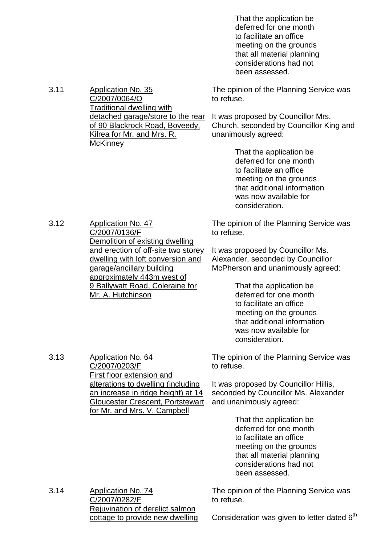That the application be deferred for one month to facilitate an office meeting on the grounds that all material planning considerations had not been assessed.

3.11 Application No. 35 C/2007/0064/O Traditional dwelling with detached garage/store to the rear It was proposed by Councillor Mrs. of 90 Blackrock Road, Boveedy, Kilrea for Mr. and Mrs. R. **McKinney** The opinion of the Planning Service was to refuse. Church, seconded by Councillor King and unanimously agreed:

That the application be deferred for one month to facilitate an office meeting on the grounds that additional information was now available for consideration.

The opinion of the Planning Service was to refuse.

It was proposed by Councillor Ms. Alexander, seconded by Councillor McPherson and unanimously agreed:

> That the application be deferred for one month to facilitate an office meeting on the grounds that additional information was now available for consideration.

The opinion of the Planning Service was to refuse.

It was proposed by Councillor Hillis, seconded by Councillor Ms. Alexander and unanimously agreed:

> That the application be deferred for one month to facilitate an office meeting on the grounds that all material planning considerations had not been assessed.

3.14 Application No. 74 C/2007/0282/F Rejuvination of derelict salmon cottage to provide new dwelling

The opinion of the Planning Service was to refuse.

Consideration was given to letter dated  $6<sup>th</sup>$ 

C/2007/0136/F Demolition of existing dwelling and erection of off-site two storey dwelling with loft conversion and garage/ancillary building approximately 443m west of 9 Ballywatt Road, Coleraine for Mr. A. Hutchinson

3.12 Application No. 47

3.13 Application No. 64

C/2007/0203/F

First floor extension and

alterations to dwelling (including an increase in ridge height) at 14 Gloucester Crescent, Portstewart for Mr. and Mrs. V. Campbell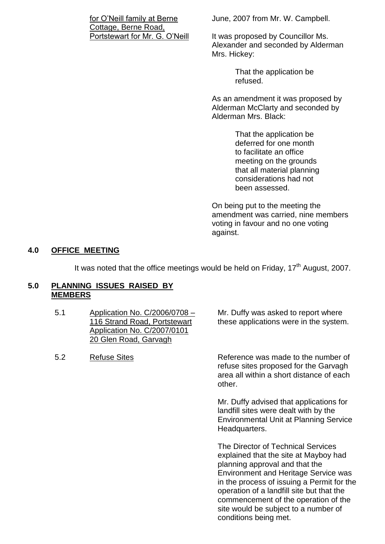for O'Neill family at Berne Cottage, Berne Road, Portstewart for Mr. G. O'Neill June, 2007 from Mr. W. Campbell.

It was proposed by Councillor Ms. Alexander and seconded by Alderman Mrs. Hickey:

> That the application be refused.

As an amendment it was proposed by Alderman McClarty and seconded by Alderman Mrs. Black:

> That the application be deferred for one month to facilitate an office meeting on the grounds that all material planning considerations had not been assessed.

On being put to the meeting the amendment was carried, nine members voting in favour and no one voting against.

# **4.0 OFFICE MEETING**

It was noted that the office meetings would be held on Friday,  $17<sup>th</sup>$  August, 2007.

### **5.0 PLANNING ISSUES RAISED BY MEMBERS**

- 5.1 Application No. C/2006/0708 116 Strand Road, Portstewart Application No. C/2007/0101 20 Glen Road, Garvagh
- 

Mr. Duffy was asked to report where these applications were in the system.

5.2 Refuse Sites Reference was made to the number of refuse sites proposed for the Garvagh area all within a short distance of each other.

> Mr. Duffy advised that applications for landfill sites were dealt with by the Environmental Unit at Planning Service Headquarters.

The Director of Technical Services explained that the site at Mayboy had planning approval and that the Environment and Heritage Service was in the process of issuing a Permit for the operation of a landfill site but that the commencement of the operation of the site would be subject to a number of conditions being met.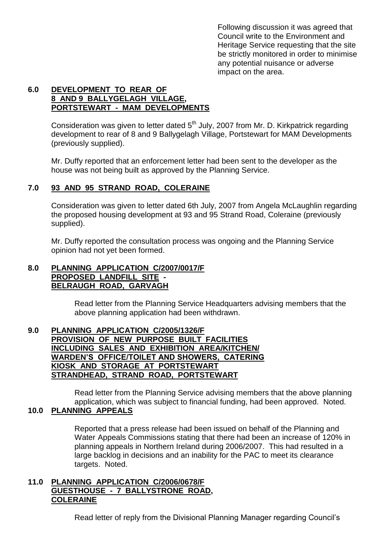Following discussion it was agreed that Council write to the Environment and Heritage Service requesting that the site be strictly monitored in order to minimise any potential nuisance or adverse impact on the area.

# **6.0 DEVELOPMENT TO REAR OF 8 AND 9 BALLYGELAGH VILLAGE, PORTSTEWART - MAM DEVELOPMENTS**

Consideration was given to letter dated  $5<sup>th</sup>$  July, 2007 from Mr. D. Kirkpatrick regarding development to rear of 8 and 9 Ballygelagh Village, Portstewart for MAM Developments (previously supplied).

Mr. Duffy reported that an enforcement letter had been sent to the developer as the house was not being built as approved by the Planning Service.

# **7.0 93 AND 95 STRAND ROAD, COLERAINE**

Consideration was given to letter dated 6th July, 2007 from Angela McLaughlin regarding the proposed housing development at 93 and 95 Strand Road, Coleraine (previously supplied).

Mr. Duffy reported the consultation process was ongoing and the Planning Service opinion had not yet been formed.

### **8.0 PLANNING APPLICATION C/2007/0017/F PROPOSED LANDFILL SITE - BELRAUGH ROAD, GARVAGH**

Read letter from the Planning Service Headquarters advising members that the above planning application had been withdrawn.

#### **9.0 PLANNING APPLICATION C/2005/1326/F PROVISION OF NEW PURPOSE BUILT FACILITIES INCLUDING SALES AND EXHIBITION AREA/KITCHEN/ WARDEN'S OFFICE/TOILETANDSHOWERS,CATERING KIOSK AND STORAGE AT PORTSTEWART STRANDHEAD, STRAND ROAD, PORTSTEWART**

Read letter from the Planning Service advising members that the above planning application, which was subject to financial funding, had been approved. Noted.

# **10.0 PLANNING APPEALS**

Reported that a press release had been issued on behalf of the Planning and Water Appeals Commissions stating that there had been an increase of 120% in planning appeals in Northern Ireland during 2006/2007. This had resulted in a large backlog in decisions and an inability for the PAC to meet its clearance targets. Noted.

# **11.0 PLANNING APPLICATION C/2006/0678/F GUESTHOUSE - 7 BALLYSTRONE ROAD, COLERAINE**

Read letter of reply from the Divisional Planning Manager regarding Council's